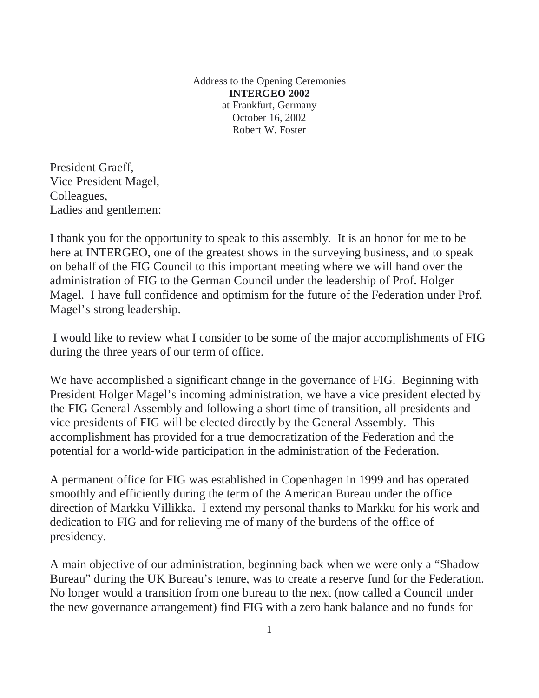Address to the Opening Ceremonies **INTERGEO 2002**  at Frankfurt, Germany October 16, 2002 Robert W. Foster

President Graeff, Vice President Magel, Colleagues, Ladies and gentlemen:

I thank you for the opportunity to speak to this assembly. It is an honor for me to be here at INTERGEO, one of the greatest shows in the surveying business, and to speak on behalf of the FIG Council to this important meeting where we will hand over the administration of FIG to the German Council under the leadership of Prof. Holger Magel. I have full confidence and optimism for the future of the Federation under Prof. Magel's strong leadership.

 I would like to review what I consider to be some of the major accomplishments of FIG during the three years of our term of office.

We have accomplished a significant change in the governance of FIG. Beginning with President Holger Magel's incoming administration, we have a vice president elected by the FIG General Assembly and following a short time of transition, all presidents and vice presidents of FIG will be elected directly by the General Assembly. This accomplishment has provided for a true democratization of the Federation and the potential for a world-wide participation in the administration of the Federation.

A permanent office for FIG was established in Copenhagen in 1999 and has operated smoothly and efficiently during the term of the American Bureau under the office direction of Markku Villikka. I extend my personal thanks to Markku for his work and dedication to FIG and for relieving me of many of the burdens of the office of presidency.

A main objective of our administration, beginning back when we were only a "Shadow Bureau" during the UK Bureau's tenure, was to create a reserve fund for the Federation. No longer would a transition from one bureau to the next (now called a Council under the new governance arrangement) find FIG with a zero bank balance and no funds for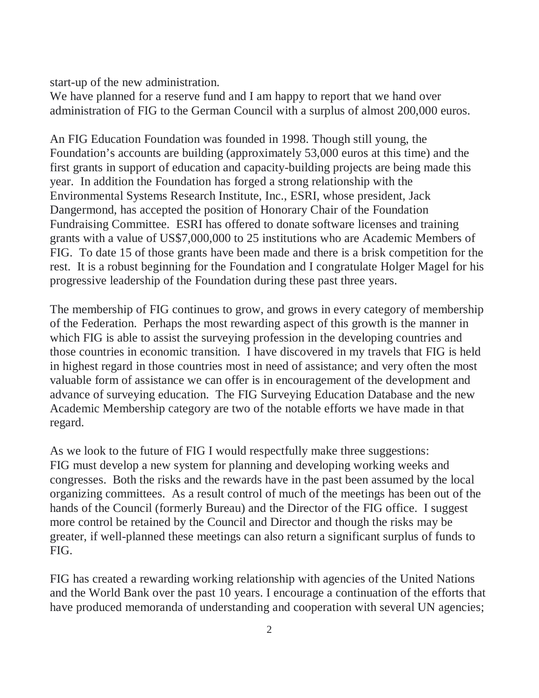start-up of the new administration.

We have planned for a reserve fund and I am happy to report that we hand over administration of FIG to the German Council with a surplus of almost 200,000 euros.

An FIG Education Foundation was founded in 1998. Though still young, the Foundation's accounts are building (approximately 53,000 euros at this time) and the first grants in support of education and capacity-building projects are being made this year. In addition the Foundation has forged a strong relationship with the Environmental Systems Research Institute, Inc., ESRI, whose president, Jack Dangermond, has accepted the position of Honorary Chair of the Foundation Fundraising Committee. ESRI has offered to donate software licenses and training grants with a value of US\$7,000,000 to 25 institutions who are Academic Members of FIG. To date 15 of those grants have been made and there is a brisk competition for the rest. It is a robust beginning for the Foundation and I congratulate Holger Magel for his progressive leadership of the Foundation during these past three years.

The membership of FIG continues to grow, and grows in every category of membership of the Federation. Perhaps the most rewarding aspect of this growth is the manner in which FIG is able to assist the surveying profession in the developing countries and those countries in economic transition. I have discovered in my travels that FIG is held in highest regard in those countries most in need of assistance; and very often the most valuable form of assistance we can offer is in encouragement of the development and advance of surveying education. The FIG Surveying Education Database and the new Academic Membership category are two of the notable efforts we have made in that regard.

As we look to the future of FIG I would respectfully make three suggestions: FIG must develop a new system for planning and developing working weeks and congresses. Both the risks and the rewards have in the past been assumed by the local organizing committees. As a result control of much of the meetings has been out of the hands of the Council (formerly Bureau) and the Director of the FIG office. I suggest more control be retained by the Council and Director and though the risks may be greater, if well-planned these meetings can also return a significant surplus of funds to FIG.

FIG has created a rewarding working relationship with agencies of the United Nations and the World Bank over the past 10 years. I encourage a continuation of the efforts that have produced memoranda of understanding and cooperation with several UN agencies;